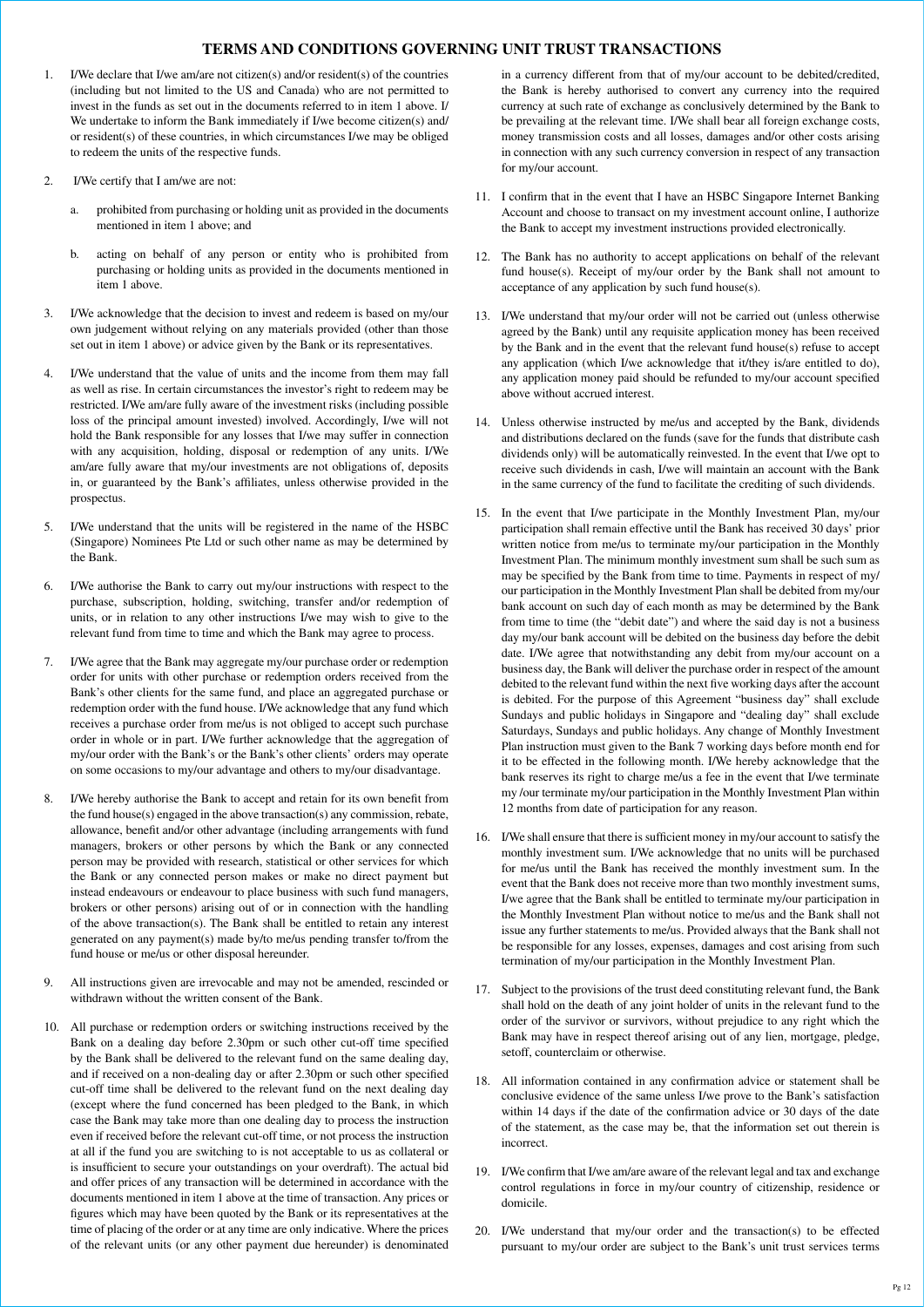## **TERMS AND CONDITIONS GOVERNING UNIT TRUST TRANSACTIONS**

- 1. I/We declare that I/we am/are not citizen(s) and/or resident(s) of the countries (including but not limited to the US and Canada) who are not permitted to invest in the funds as set out in the documents referred to in item 1 above. I/ We undertake to inform the Bank immediately if I/we become citizen(s) and/ or resident(s) of these countries, in which circumstances I/we may be obliged to redeem the units of the respective funds.
- 2. I/We certify that I am/we are not:
	- a. prohibited from purchasing or holding unit as provided in the documents mentioned in item 1 above; and
	- b. acting on behalf of any person or entity who is prohibited from purchasing or holding units as provided in the documents mentioned in item 1 above.
- 3. I/We acknowledge that the decision to invest and redeem is based on my/our own judgement without relying on any materials provided (other than those set out in item 1 above) or advice given by the Bank or its representatives.
- I/We understand that the value of units and the income from them may fall as well as rise. In certain circumstances the investor's right to redeem may be restricted. I/We am/are fully aware of the investment risks (including possible loss of the principal amount invested) involved. Accordingly, I/we will not hold the Bank responsible for any losses that I/we may suffer in connection with any acquisition, holding, disposal or redemption of any units. I/We am/are fully aware that my/our investments are not obligations of, deposits in, or guaranteed by the Bank's affiliates, unless otherwise provided in the prospectus.
- 5. I/We understand that the units will be registered in the name of the HSBC (Singapore) Nominees Pte Ltd or such other name as may be determined by the Bank.
- 6. I/We authorise the Bank to carry out my/our instructions with respect to the purchase, subscription, holding, switching, transfer and/or redemption of units, or in relation to any other instructions I/we may wish to give to the relevant fund from time to time and which the Bank may agree to process.
- 7. I/We agree that the Bank may aggregate my/our purchase order or redemption order for units with other purchase or redemption orders received from the Bank's other clients for the same fund, and place an aggregated purchase or redemption order with the fund house. I/We acknowledge that any fund which receives a purchase order from me/us is not obliged to accept such purchase order in whole or in part. I/We further acknowledge that the aggregation of my/our order with the Bank's or the Bank's other clients' orders may operate on some occasions to my/our advantage and others to my/our disadvantage.
- 8. I/We hereby authorise the Bank to accept and retain for its own benefit from the fund house(s) engaged in the above transaction(s) any commission, rebate, allowance, benefit and/or other advantage (including arrangements with fund managers, brokers or other persons by which the Bank or any connected person may be provided with research, statistical or other services for which the Bank or any connected person makes or make no direct payment but instead endeavours or endeavour to place business with such fund managers, brokers or other persons) arising out of or in connection with the handling of the above transaction(s). The Bank shall be entitled to retain any interest generated on any payment(s) made by/to me/us pending transfer to/from the fund house or me/us or other disposal hereunder.
- 9. All instructions given are irrevocable and may not be amended, rescinded or withdrawn without the written consent of the Bank.
- 10. All purchase or redemption orders or switching instructions received by the Bank on a dealing day before 2.30pm or such other cut-off time specified by the Bank shall be delivered to the relevant fund on the same dealing day, and if received on a non-dealing day or after 2.30pm or such other specified cut-off time shall be delivered to the relevant fund on the next dealing day (except where the fund concerned has been pledged to the Bank, in which case the Bank may take more than one dealing day to process the instruction even if received before the relevant cut-off time, or not process the instruction at all if the fund you are switching to is not acceptable to us as collateral or is insufficient to secure your outstandings on your overdraft). The actual bid and offer prices of any transaction will be determined in accordance with the documents mentioned in item 1 above at the time of transaction. Any prices or figures which may have been quoted by the Bank or its representatives at the time of placing of the order or at any time are only indicative. Where the prices of the relevant units (or any other payment due hereunder) is denominated

in a currency different from that of my/our account to be debited/credited, the Bank is hereby authorised to convert any currency into the required currency at such rate of exchange as conclusively determined by the Bank to be prevailing at the relevant time. I/We shall bear all foreign exchange costs, money transmission costs and all losses, damages and/or other costs arising in connection with any such currency conversion in respect of any transaction for my/our account.

- 11. I confirm that in the event that I have an HSBC Singapore Internet Banking Account and choose to transact on my investment account online, I authorize the Bank to accept my investment instructions provided electronically.
- 12. The Bank has no authority to accept applications on behalf of the relevant fund house(s). Receipt of my/our order by the Bank shall not amount to acceptance of any application by such fund house(s).
- 13. I/We understand that my/our order will not be carried out (unless otherwise agreed by the Bank) until any requisite application money has been received by the Bank and in the event that the relevant fund house(s) refuse to accept any application (which I/we acknowledge that it/they is/are entitled to do), any application money paid should be refunded to my/our account specified above without accrued interest.
- 14. Unless otherwise instructed by me/us and accepted by the Bank, dividends and distributions declared on the funds (save for the funds that distribute cash dividends only) will be automatically reinvested. In the event that I/we opt to receive such dividends in cash, I/we will maintain an account with the Bank in the same currency of the fund to facilitate the crediting of such dividends.
- 15. In the event that I/we participate in the Monthly Investment Plan, my/our participation shall remain effective until the Bank has received 30 days' prior written notice from me/us to terminate my/our participation in the Monthly Investment Plan. The minimum monthly investment sum shall be such sum as may be specified by the Bank from time to time. Payments in respect of my/ our participation in the Monthly Investment Plan shall be debited from my/our bank account on such day of each month as may be determined by the Bank from time to time (the "debit date") and where the said day is not a business day my/our bank account will be debited on the business day before the debit date. I/We agree that notwithstanding any debit from my/our account on a business day, the Bank will deliver the purchase order in respect of the amount debited to the relevant fund within the next five working days after the account is debited. For the purpose of this Agreement "business day" shall exclude Sundays and public holidays in Singapore and "dealing day" shall exclude Saturdays, Sundays and public holidays. Any change of Monthly Investment Plan instruction must given to the Bank 7 working days before month end for it to be effected in the following month. I/We hereby acknowledge that the bank reserves its right to charge me/us a fee in the event that I/we terminate my /our terminate my/our participation in the Monthly Investment Plan within 12 months from date of participation for any reason.
- 16. I/We shall ensure that there is sufficient money in my/our account to satisfy the monthly investment sum. I/We acknowledge that no units will be purchased for me/us until the Bank has received the monthly investment sum. In the event that the Bank does not receive more than two monthly investment sums, I/we agree that the Bank shall be entitled to terminate my/our participation in the Monthly Investment Plan without notice to me/us and the Bank shall not issue any further statements to me/us. Provided always that the Bank shall not be responsible for any losses, expenses, damages and cost arising from such termination of my/our participation in the Monthly Investment Plan.
- 17. Subject to the provisions of the trust deed constituting relevant fund, the Bank shall hold on the death of any joint holder of units in the relevant fund to the order of the survivor or survivors, without prejudice to any right which the Bank may have in respect thereof arising out of any lien, mortgage, pledge, setoff, counterclaim or otherwise.
- 18. All information contained in any confirmation advice or statement shall be conclusive evidence of the same unless I/we prove to the Bank's satisfaction within 14 days if the date of the confirmation advice or 30 days of the date of the statement, as the case may be, that the information set out therein is incorrect.
- 19. I/We confirm that I/we am/are aware of the relevant legal and tax and exchange control regulations in force in my/our country of citizenship, residence or domicile.
- 20. I/We understand that my/our order and the transaction(s) to be effected pursuant to my/our order are subject to the Bank's unit trust services terms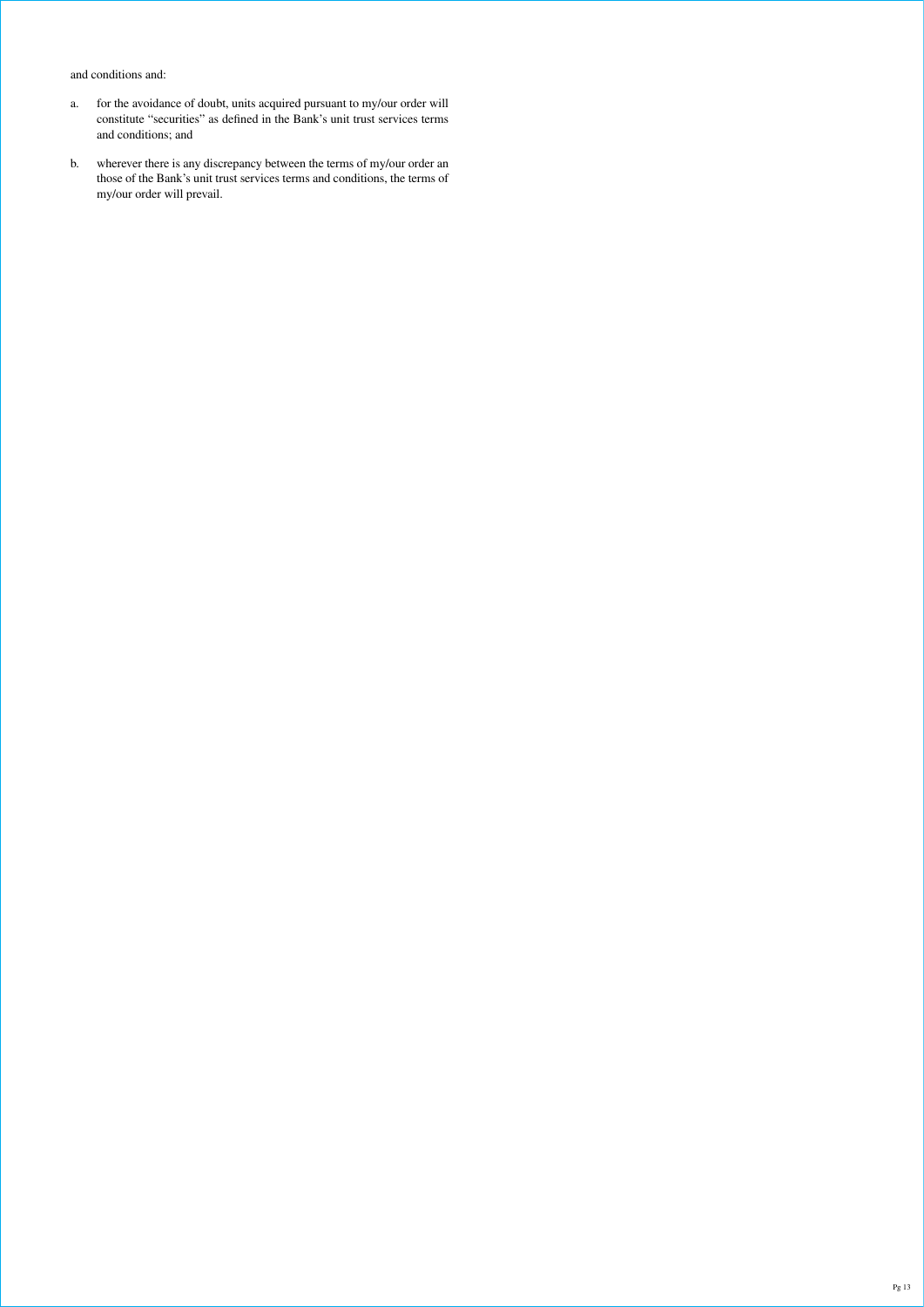and conditions and:

- a. for the avoidance of doubt, units acquired pursuant to my/our order will constitute "securities" as defined in the Bank's unit trust services terms and conditions; and
- b. wherever there is any discrepancy between the terms of my/our order an those of the Bank's unit trust services terms and conditions, the terms of my/our order will prevail.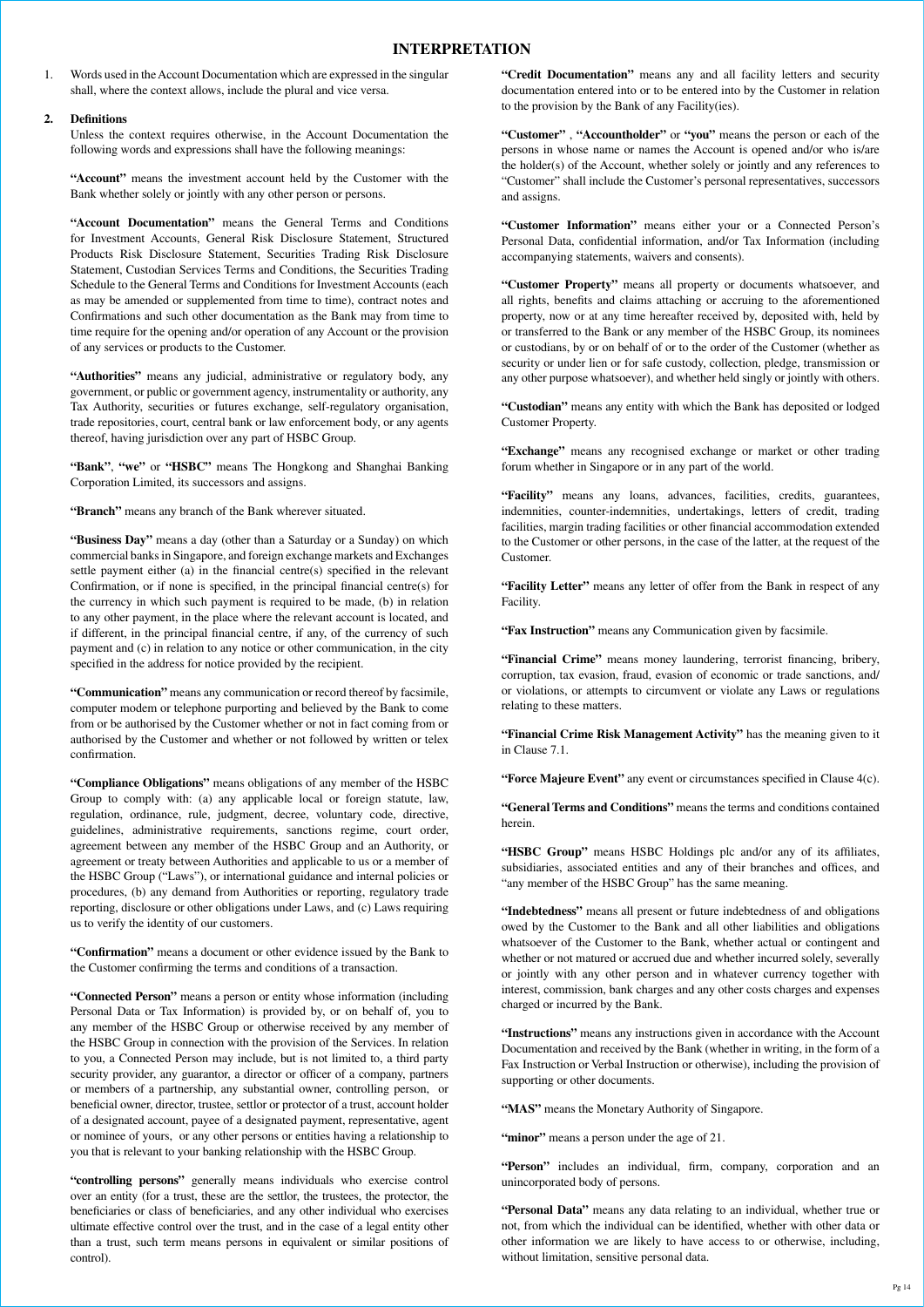## **INTERPRETATION**

1. Words used in the Account Documentation which are expressed in the singular shall, where the context allows, include the plural and vice versa.

## **2. Definitions**

 Unless the context requires otherwise, in the Account Documentation the following words and expressions shall have the following meanings:

 **"Account"** means the investment account held by the Customer with the Bank whether solely or jointly with any other person or persons.

 **"Account Documentation"** means the General Terms and Conditions for Investment Accounts, General Risk Disclosure Statement, Structured Products Risk Disclosure Statement, Securities Trading Risk Disclosure Statement, Custodian Services Terms and Conditions, the Securities Trading Schedule to the General Terms and Conditions for Investment Accounts (each as may be amended or supplemented from time to time), contract notes and Confirmations and such other documentation as the Bank may from time to time require for the opening and/or operation of any Account or the provision of any services or products to the Customer.

 **"Authorities"** means any judicial, administrative or regulatory body, any government, or public or government agency, instrumentality or authority, any Tax Authority, securities or futures exchange, self-regulatory organisation, trade repositories, court, central bank or law enforcement body, or any agents thereof, having jurisdiction over any part of HSBC Group.

 **"Bank"**, **"we"** or **"HSBC"** means The Hongkong and Shanghai Banking Corporation Limited, its successors and assigns.

**"Branch"** means any branch of the Bank wherever situated.

**"Business Day"** means a day (other than a Saturday or a Sunday) on which commercial banks in Singapore, and foreign exchange markets and Exchanges settle payment either (a) in the financial centre(s) specified in the relevant Confirmation, or if none is specified, in the principal financial centre(s) for the currency in which such payment is required to be made, (b) in relation to any other payment, in the place where the relevant account is located, and if different, in the principal financial centre, if any, of the currency of such payment and (c) in relation to any notice or other communication, in the city specified in the address for notice provided by the recipient.

 **"Communication"** means any communication or record thereof by facsimile, computer modem or telephone purporting and believed by the Bank to come from or be authorised by the Customer whether or not in fact coming from or authorised by the Customer and whether or not followed by written or telex confirmation.

 **"Compliance Obligations"** means obligations of any member of the HSBC Group to comply with: (a) any applicable local or foreign statute, law, regulation, ordinance, rule, judgment, decree, voluntary code, directive, guidelines, administrative requirements, sanctions regime, court order, agreement between any member of the HSBC Group and an Authority, or agreement or treaty between Authorities and applicable to us or a member of the HSBC Group ("Laws"), or international guidance and internal policies or procedures, (b) any demand from Authorities or reporting, regulatory trade reporting, disclosure or other obligations under Laws, and (c) Laws requiring us to verify the identity of our customers.

 **"Confirmation"** means a document or other evidence issued by the Bank to the Customer confirming the terms and conditions of a transaction.

 **"Connected Person"** means a person or entity whose information (including Personal Data or Tax Information) is provided by, or on behalf of, you to any member of the HSBC Group or otherwise received by any member of the HSBC Group in connection with the provision of the Services. In relation to you, a Connected Person may include, but is not limited to, a third party security provider, any guarantor, a director or officer of a company, partners or members of a partnership, any substantial owner, controlling person, or beneficial owner, director, trustee, settlor or protector of a trust, account holder of a designated account, payee of a designated payment, representative, agent or nominee of yours, or any other persons or entities having a relationship to you that is relevant to your banking relationship with the HSBC Group.

 **"controlling persons"** generally means individuals who exercise control over an entity (for a trust, these are the settlor, the trustees, the protector, the beneficiaries or class of beneficiaries, and any other individual who exercises ultimate effective control over the trust, and in the case of a legal entity other than a trust, such term means persons in equivalent or similar positions of control).

 **"Credit Documentation"** means any and all facility letters and security documentation entered into or to be entered into by the Customer in relation to the provision by the Bank of any Facility(ies).

 **"Customer"** , **"Accountholder"** or **"you"** means the person or each of the persons in whose name or names the Account is opened and/or who is/are the holder(s) of the Account, whether solely or jointly and any references to "Customer" shall include the Customer's personal representatives, successors and assigns.

 **"Customer Information"** means either your or a Connected Person's Personal Data, confidential information, and/or Tax Information (including accompanying statements, waivers and consents).

 **"Customer Property"** means all property or documents whatsoever, and all rights, benefits and claims attaching or accruing to the aforementioned property, now or at any time hereafter received by, deposited with, held by or transferred to the Bank or any member of the HSBC Group, its nominees or custodians, by or on behalf of or to the order of the Customer (whether as security or under lien or for safe custody, collection, pledge, transmission or any other purpose whatsoever), and whether held singly or jointly with others.

 **"Custodian"** means any entity with which the Bank has deposited or lodged Customer Property.

 **"Exchange"** means any recognised exchange or market or other trading forum whether in Singapore or in any part of the world.

"Facility" means any loans, advances, facilities, credits, guarantees, indemnities, counter-indemnities, undertakings, letters of credit, trading facilities, margin trading facilities or other financial accommodation extended to the Customer or other persons, in the case of the latter, at the request of the Customer.

 **"Facility Letter"** means any letter of offer from the Bank in respect of any Facility.

**"Fax Instruction"** means any Communication given by facsimile.

**"Financial Crime"** means money laundering, terrorist financing, bribery, corruption, tax evasion, fraud, evasion of economic or trade sanctions, and/ or violations, or attempts to circumvent or violate any Laws or regulations relating to these matters.

**"Financial Crime Risk Management Activity"** has the meaning given to it in Clause 7.1.

**"Force Majeure Event"** any event or circumstances specified in Clause 4(c).

 **"General Terms and Conditions"** means the terms and conditions contained herein.

 **"HSBC Group"** means HSBC Holdings plc and/or any of its affiliates, subsidiaries, associated entities and any of their branches and offices, and "any member of the HSBC Group" has the same meaning.

 **"Indebtedness"** means all present or future indebtedness of and obligations owed by the Customer to the Bank and all other liabilities and obligations whatsoever of the Customer to the Bank, whether actual or contingent and whether or not matured or accrued due and whether incurred solely, severally or jointly with any other person and in whatever currency together with interest, commission, bank charges and any other costs charges and expenses charged or incurred by the Bank.

 **"Instructions"** means any instructions given in accordance with the Account Documentation and received by the Bank (whether in writing, in the form of a Fax Instruction or Verbal Instruction or otherwise), including the provision of supporting or other documents.

**"MAS"** means the Monetary Authority of Singapore.

**"minor"** means a person under the age of 21.

 **"Person"** includes an individual, firm, company, corporation and an unincorporated body of persons.

**"Personal Data"** means any data relating to an individual, whether true or not, from which the individual can be identified, whether with other data or other information we are likely to have access to or otherwise, including, without limitation, sensitive personal data.